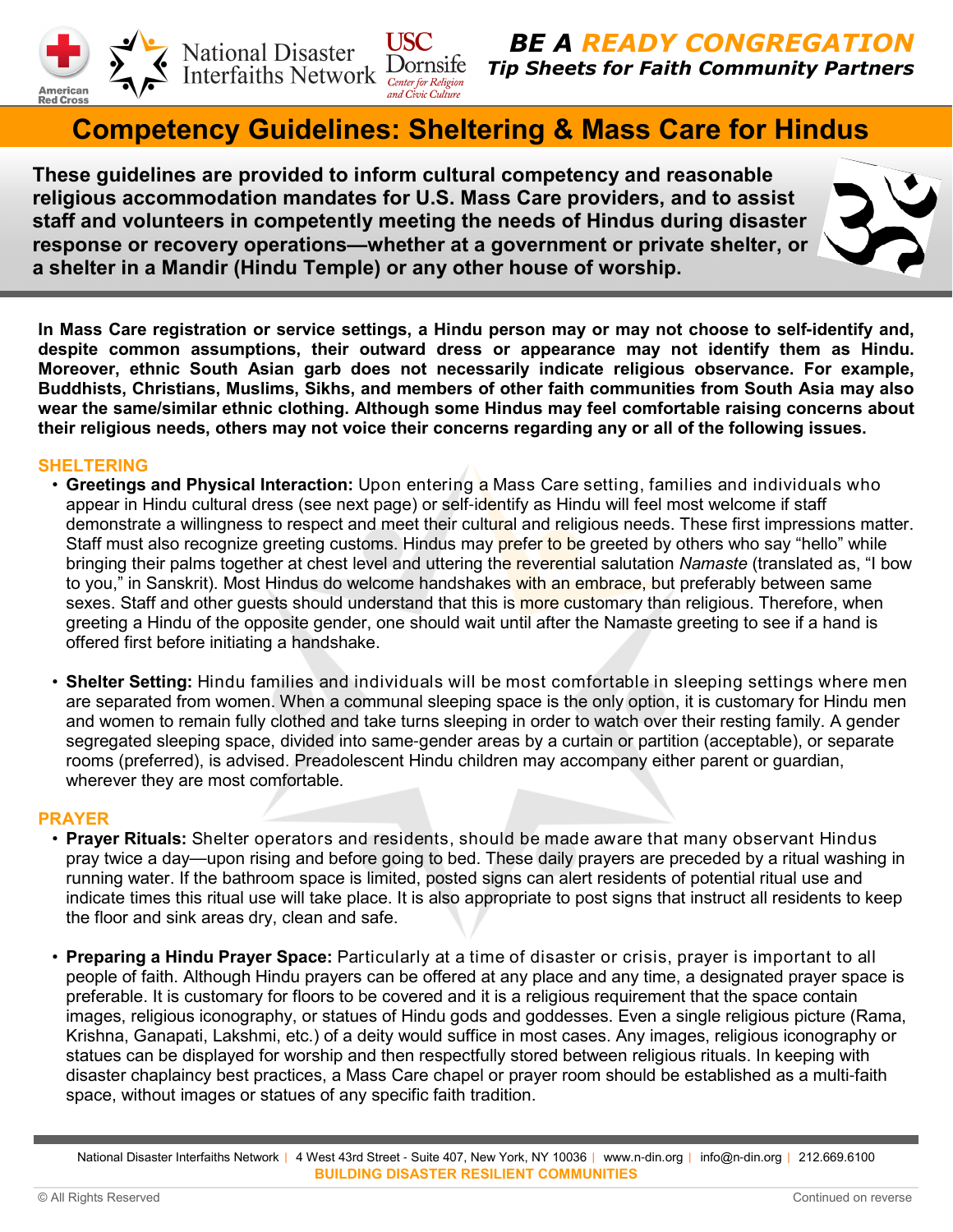



BE A READY CONGREGATION Tip Sheets for Faith Community Partners

# Competency Guidelines: Sheltering & Mass Care for Hindus

These guidelines are provided to inform cultural competency and reasonable religious accommodation mandates for U.S. Mass Care providers, and to assist staff and volunteers in competently meeting the needs of Hindus during disaster response or recovery operations**—**whether at a government or private shelter, or a shelter in a Mandir (Hindu Temple) or any other house of worship.

In Mass Care registration or service settings, a Hindu person may or may not choose to self**-**identify and, despite common assumptions, their outward dress or appearance may not identify them as Hindu. Moreover, ethnic South Asian garb does not necessarily indicate religious observance. For example, Buddhists, Christians, Muslims, Sikhs, and members of other faith communities from South Asia may also wear the same/similar ethnic clothing. Although some Hindus may feel comfortable raising concerns about their religious needs, others may not voice their concerns regarding any or all of the following issues.

# SHELTERING

- Greetings and Physical Interaction: Upon entering a Mass Care setting, families and individuals who appear in Hindu cultural dress (see next page) or self-identify as Hindu will feel most welcome if staff demonstrate a willingness to respect and meet their cultural and religious needs. These first impressions matter. Staff must also recognize greeting customs. Hindus may prefer to be greeted by others who say "hello" while bringing their palms together at chest level and uttering the reverential salutation Namaste (translated as, "I bow to you," in Sanskrit). Most Hindus do welcome handshakes with an embrace, but preferably between same sexes. Staff and other quests should understand that this is more customary than religious. Therefore, when greeting a Hindu of the opposite gender, one should wait until after the Namaste greeting to see if a hand is offered first before initiating a handshake.
- Shelter Setting: Hindu families and individuals will be most comfortable in sleeping settings where men are separated from women. When a communal sleeping space is the only option, it is customary for Hindu men and women to remain fully clothed and take turns sleeping in order to watch over their resting family. A gender segregated sleeping space, divided into same-gender areas by a curtain or partition (acceptable), or separate rooms (preferred), is advised. Preadolescent Hindu children may accompany either parent or guardian, wherever they are most comfortable.

# PRAYER

- Prayer Rituals: Shelter operators and residents, should be made aware that many observant Hindus pray twice a day—upon rising and before going to bed. These daily prayers are preceded by a ritual washing in running water. If the bathroom space is limited, posted signs can alert residents of potential ritual use and indicate times this ritual use will take place. It is also appropriate to post signs that instruct all residents to keep the floor and sink areas dry, clean and safe.
- Preparing a Hindu Prayer Space: Particularly at a time of disaster or crisis, prayer is important to all people of faith. Although Hindu prayers can be offered at any place and any time, a designated prayer space is preferable. It is customary for floors to be covered and it is a religious requirement that the space contain images, religious iconography, or statues of Hindu gods and goddesses. Even a single religious picture (Rama, Krishna, Ganapati, Lakshmi, etc.) of a deity would suffice in most cases. Any images, religious iconography or statues can be displayed for worship and then respectfully stored between religious rituals. In keeping with disaster chaplaincy best practices, a Mass Care chapel or prayer room should be established as a multi-faith space, without images or statues of any specific faith tradition.

National Disaster Interfaiths Network | 4 West 43rd Street - Suite 407, New York, NY 10036 | www.n-din.org | info@n-din.org | 212.669.6100 BUILDING DISASTER RESILIENT COMMUNITIES